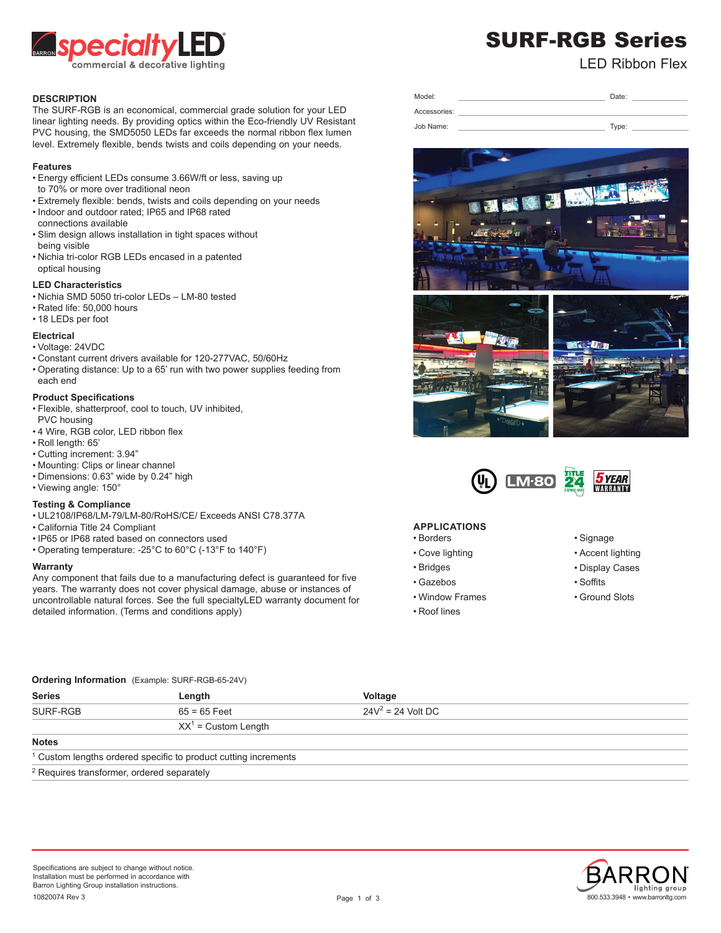

# SURF-RGB Series

LED Ribbon Flex

# **DESCRIPTION**

The SURF-RGB is an economical, commercial grade solution for your LED linear lighting needs. By providing optics within the Eco-friendly UV Resistant PVC housing, the SMD5050 LEDs far exceeds the normal ribbon flex lumen level. Extremely flexible, bends twists and coils depending on your needs.

# **Features**

- Energy efficient LEDs consume 3.66W/ft or less, saving up to 70% or more over traditional neon
- Extremely flexible: bends, twists and coils depending on your needs
- Indoor and outdoor rated; IP65 and IP68 rated connections available
- Slim design allows installation in tight spaces without being visible
- Nichia tri-color RGB LEDs encased in a patented optical housing

# **LED Characteristics**

- Nichia SMD 5050 tri-color LEDs LM-80 tested
- Rated life: 50,000 hours
- 18 LEDs per foot

# **Electrical**

- Voltage: 24VDC
- Constant current drivers available for 120-277VAC, 50/60Hz
- Operating distance: Up to a 65' run with two power supplies feeding from each end

### **Product Specifications**

- Flexible, shatterproof, cool to touch, UV inhibited, PVC housing
- 4 Wire, RGB color, LED ribbon flex
- Roll length: 65'
- Cutting increment: 3.94"
- Mounting: Clips or linear channel
- Dimensions: 0.63" wide by 0.24" high
- Viewing angle: 150°

# **Testing & Compliance**

- UL2108/IP68/LM-79/LM-80/RoHS/CE/ Exceeds ANSI C78.377A
- California Title 24 Compliant
- IP65 or IP68 rated based on connectors used
- Operating temperature: -25°C to 60°C (-13°F to 140°F)

#### **Warranty**

Any component that fails due to a manufacturing defect is guaranteed for five years. The warranty does not cover physical damage, abuse or instances of uncontrollable natural forces. See the full specialtyLED warranty document for detailed information. (Terms and conditions apply)

| Model:       | Date: |
|--------------|-------|
| Accessories: |       |
| Job Name:    | Type: |







# **APPLICATIONS**

- Borders
- Cove lighting
- Bridges
- Gazebos
- Window Frames
- Roof lines
- Signage
- Accent lighting
- Display Cases
- Soffits
- Ground Slots

# **Ordering Information** (Example: SURF-RGB-65-24V)

| <b>Series</b>                                                              | Length                 | Voltage              |  |  |
|----------------------------------------------------------------------------|------------------------|----------------------|--|--|
| SURF-RGB                                                                   | $65 = 65$ Feet         | $24V^2 = 24$ Volt DC |  |  |
|                                                                            | $XX^1$ = Custom Length |                      |  |  |
| <b>Notes</b>                                                               |                        |                      |  |  |
| <sup>1</sup> Custom lengths ordered specific to product cutting increments |                        |                      |  |  |
| 2 Requires transformer ordered senarately                                  |                        |                      |  |  |

Requires transformer, ordered separately

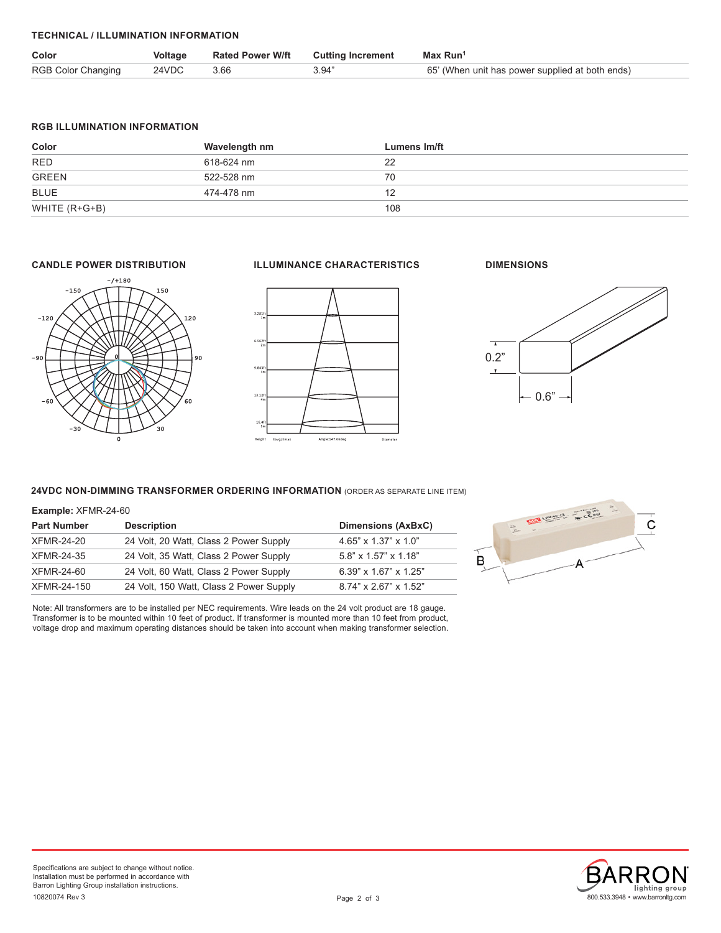# **TECHNICAL / ILLUMINATION INFORMATION**

| Color                     | Voltage    | <b>Rated Power W/ft Cutting Increment</b> |       | Max Run <sup>1</sup>                            |
|---------------------------|------------|-------------------------------------------|-------|-------------------------------------------------|
| <b>RGB Color Changing</b> | 24VDC 3.66 |                                           | 3.94" | 65' (When unit has power supplied at both ends) |

# **RGB ILLUMINATION INFORMATION**

| Color         | Wavelength nm | Lumens Im/ft |
|---------------|---------------|--------------|
| <b>RED</b>    | 618-624 nm    | 22           |
| <b>GREEN</b>  | 522-528 nm    | 70           |
| BLUE          | 474-478 nm    |              |
| WHITE (R+G+B) |               | 108          |



# **CANDLE POWER DISTRIBUTION ILLUMINANCE CHARACTERISTICS**



# **DIMENSIONS**



# **24VDC NON-DIMMING TRANSFORMER ORDERING INFORMATION** (ORDER AS SEPARATE LINE ITEM)

#### **Example:** XFMR-24-60

| <b>Part Number</b> | <b>Description</b>                      | Dimensions (AxBxC)                |
|--------------------|-----------------------------------------|-----------------------------------|
| XFMR-24-20         | 24 Volt, 20 Watt, Class 2 Power Supply  | $4.65" \times 1.37" \times 1.0"$  |
| XFMR-24-35         | 24 Volt, 35 Watt, Class 2 Power Supply  | $5.8" \times 1.57" \times 1.18"$  |
| XFMR-24-60         | 24 Volt, 60 Watt, Class 2 Power Supply  | $6.39" \times 1.67" \times 1.25"$ |
| XFMR-24-150        | 24 Volt, 150 Watt, Class 2 Power Supply | 8.74" x 2.67" x 1.52"             |

Note: All transformers are to be installed per NEC requirements. Wire leads on the 24 volt product are 18 gauge. Transformer is to be mounted within 10 feet of product. If transformer is mounted more than 10 feet from product, voltage drop and maximum operating distances should be taken into account when making transformer selection.



800.533.3948 • www.barronltg.com

lighting group